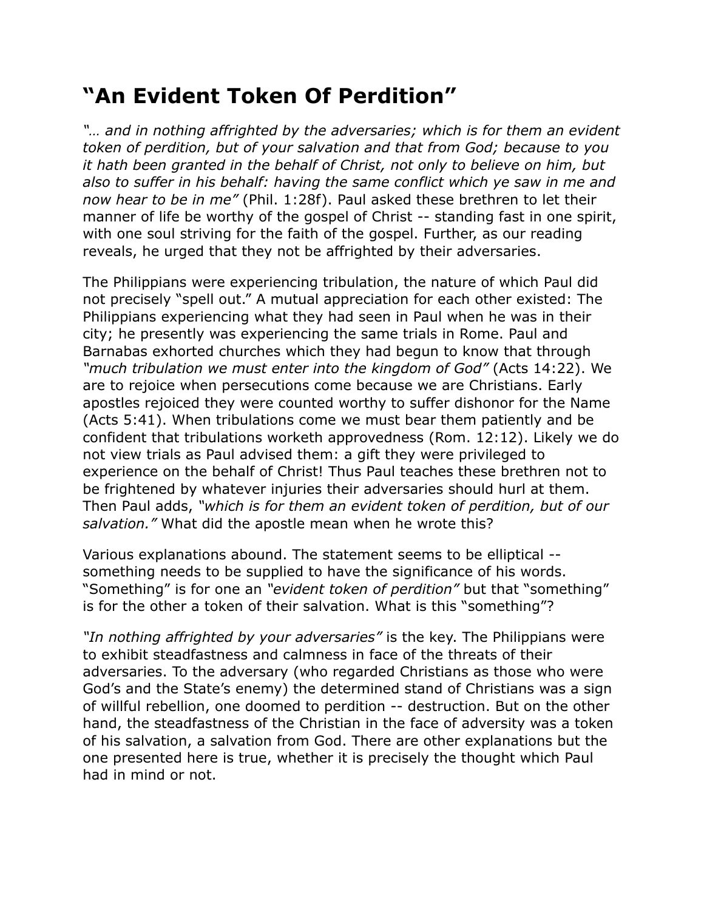## **"An Evident Token Of Perdition"**

"... and in nothing affrighted by the adversaries; which is for them an evident *token of perdition, but of your salvation and that from God; because to you it hath been granted in the behalf of Christ, not only to believe on him, but also to suffer in his behalf: having the same conflict which ye saw in me and now hear to be in me"* (Phil. 1:28f). Paul asked these brethren to let their manner of life be worthy of the gospel of Christ -- standing fast in one spirit, with one soul striving for the faith of the gospel. Further, as our reading reveals, he urged that they not be affrighted by their adversaries.

The Philippians were experiencing tribulation, the nature of which Paul did not precisely "spell out." A mutual appreciation for each other existed: The Philippians experiencing what they had seen in Paul when he was in their city; he presently was experiencing the same trials in Rome. Paul and Barnabas exhorted churches which they had begun to know that through *"much tribulation we must enter into the kingdom of God"* (Acts 14:22). We are to rejoice when persecutions come because we are Christians. Early apostles rejoiced they were counted worthy to suffer dishonor for the Name (Acts 5:41). When tribulations come we must bear them patiently and be confident that tribulations worketh approvedness (Rom. 12:12). Likely we do not view trials as Paul advised them: a gift they were privileged to experience on the behalf of Christ! Thus Paul teaches these brethren not to be frightened by whatever injuries their adversaries should hurl at them. Then Paul adds, *"which is for them an evident token of perdition, but of our salvation."* What did the apostle mean when he wrote this?

Various explanations abound. The statement seems to be elliptical - something needs to be supplied to have the significance of his words. "Something" is for one an *"evident token of perdition"* but that "something" is for the other a token of their salvation. What is this "something"?

*"In nothing affrighted by your adversaries"* is the key. The Philippians were to exhibit steadfastness and calmness in face of the threats of their adversaries. To the adversary (who regarded Christians as those who were God's and the State's enemy) the determined stand of Christians was a sign of willful rebellion, one doomed to perdition -- destruction. But on the other hand, the steadfastness of the Christian in the face of adversity was a token of his salvation, a salvation from God. There are other explanations but the one presented here is true, whether it is precisely the thought which Paul had in mind or not.